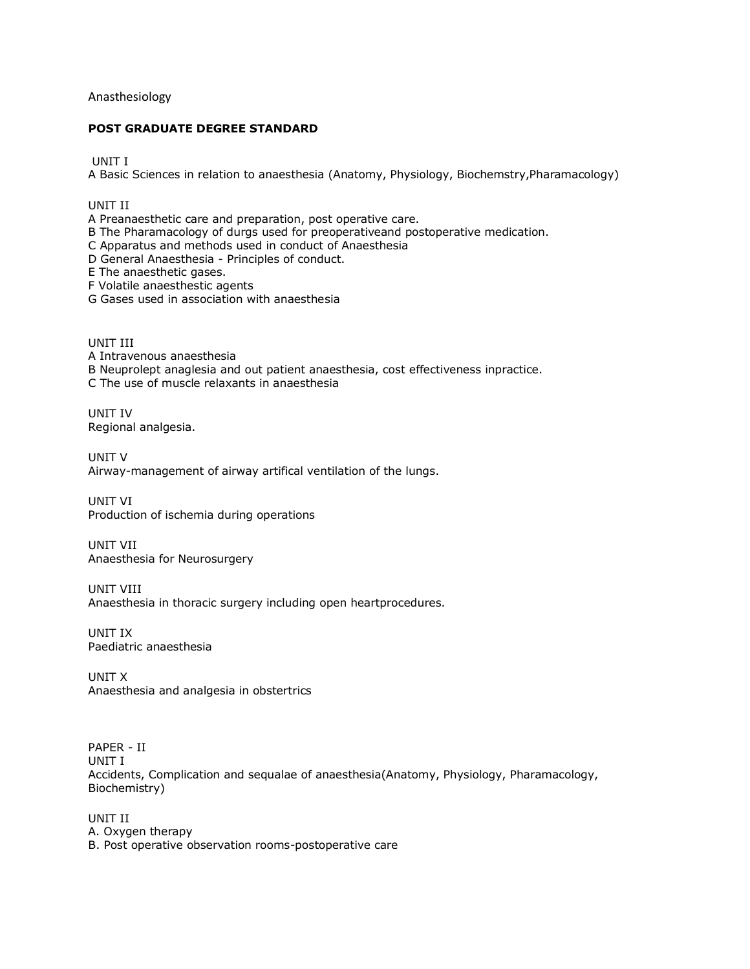## Anasthesiology

## **POST GRADUATE DEGREE STANDARD**

UNIT I

A Basic Sciences in relation to anaesthesia (Anatomy, Physiology, Biochemstry,Pharamacology)

UNIT II

A Preanaesthetic care and preparation, post operative care.

B The Pharamacology of durgs used for preoperativeand postoperative medication.

C Apparatus and methods used in conduct of Anaesthesia

D General Anaesthesia - Principles of conduct.

E The anaesthetic gases.

F Volatile anaesthestic agents

G Gases used in association with anaesthesia

UNIT III A Intravenous anaesthesia B Neuprolept anaglesia and out patient anaesthesia, cost effectiveness inpractice. C The use of muscle relaxants in anaesthesia

UNIT IV Regional analgesia.

UNIT V Airway-management of airway artifical ventilation of the lungs.

UNIT VI Production of ischemia during operations

UNIT VII Anaesthesia for Neurosurgery

UNIT VIII Anaesthesia in thoracic surgery including open heartprocedures.

UNIT IX Paediatric anaesthesia

UNIT X Anaesthesia and analgesia in obstertrics

PAPER - II UNIT I Accidents, Complication and sequalae of anaesthesia(Anatomy, Physiology, Pharamacology, Biochemistry)

UNIT II A. Oxygen therapy B. Post operative observation rooms-postoperative care